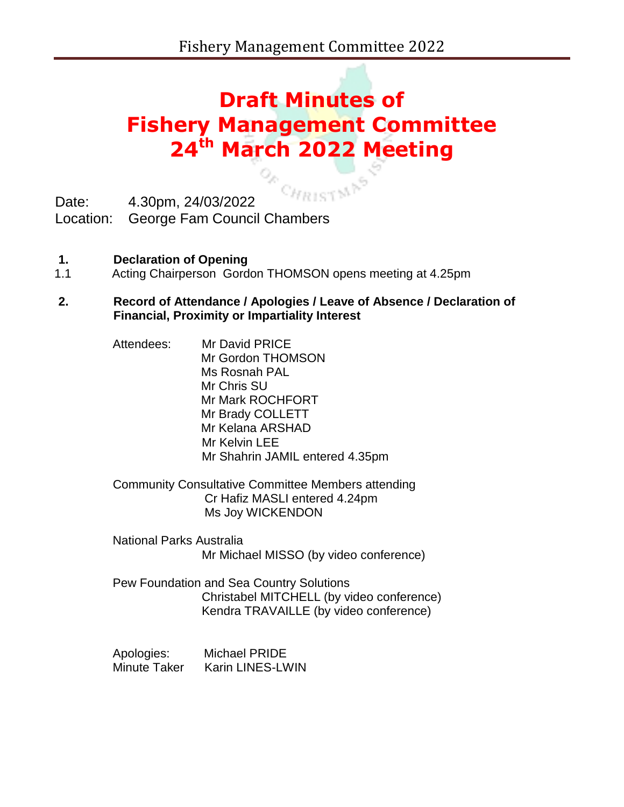# **Draft Minutes of Fishery Management Committee 24th March 2022 Meeting**

CHRISTMAS

Date: 4.30pm, 24/03/2022

Location: George Fam Council Chambers

- **1. Declaration of Opening**
- 1.1 Acting Chairperson Gordon THOMSON opens meeting at 4.25pm
- **2. Record of Attendance / Apologies / Leave of Absence / Declaration of Financial, Proximity or Impartiality Interest** 
	- Attendees: Mr David PRICE Mr Gordon THOMSON Ms Rosnah PAL Mr Chris SU Mr Mark ROCHFORT Mr Brady COLLETT Mr Kelana ARSHAD Mr Kelvin LEE Mr Shahrin JAMIL entered 4.35pm
	- Community Consultative Committee Members attending Cr Hafiz MASLI entered 4.24pm Ms Joy WICKENDON
	- National Parks Australia Mr Michael MISSO (by video conference)
	- Pew Foundation and Sea Country Solutions Christabel MITCHELL (by video conference) Kendra TRAVAILLE (by video conference)

Apologies: Michael PRIDE Minute Taker Karin LINES-LWIN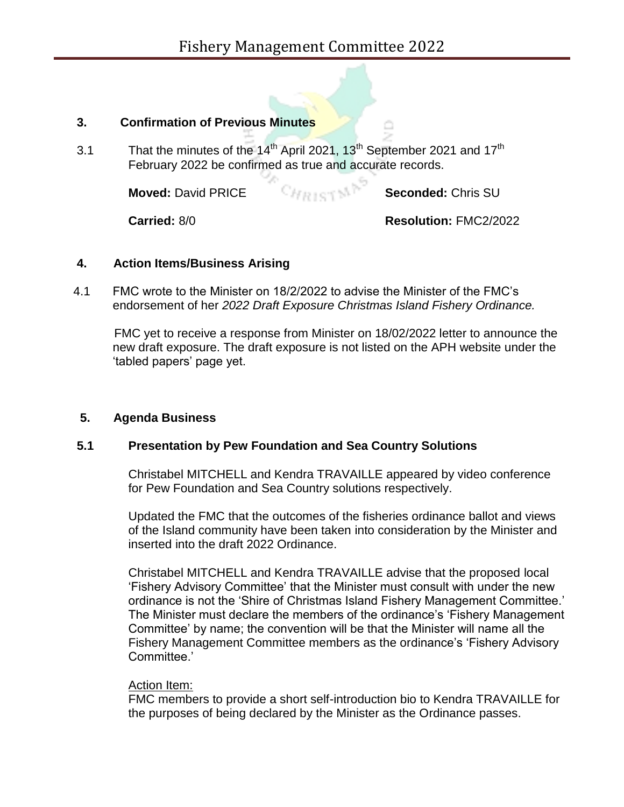## **3. Confirmation of Previous Minutes**

3.1 That the minutes of the  $14<sup>th</sup>$  April 2021, 13<sup>th</sup> September 2021 and 17<sup>th</sup> February 2022 be confirmed as true and accurate records.

**Moved:** David PRICE **Seconded:** Chris SU

**Carried:** 8/0 **Resolution:** FMC2/2022

## **4. Action Items/Business Arising**

4.1 FMC wrote to the Minister on 18/2/2022 to advise the Minister of the FMC's endorsement of her *2022 Draft Exposure Christmas Island Fishery Ordinance.*

 FMC yet to receive a response from Minister on 18/02/2022 letter to announce the new draft exposure. The draft exposure is not listed on the APH website under the 'tabled papers' page yet.

# **5. Agenda Business**

# **5.1 Presentation by Pew Foundation and Sea Country Solutions**

Christabel MITCHELL and Kendra TRAVAILLE appeared by video conference for Pew Foundation and Sea Country solutions respectively.

Updated the FMC that the outcomes of the fisheries ordinance ballot and views of the Island community have been taken into consideration by the Minister and inserted into the draft 2022 Ordinance.

Christabel MITCHELL and Kendra TRAVAILLE advise that the proposed local 'Fishery Advisory Committee' that the Minister must consult with under the new ordinance is not the 'Shire of Christmas Island Fishery Management Committee.' The Minister must declare the members of the ordinance's 'Fishery Management Committee' by name; the convention will be that the Minister will name all the Fishery Management Committee members as the ordinance's 'Fishery Advisory Committee.'

### Action Item:

FMC members to provide a short self-introduction bio to Kendra TRAVAILLE for the purposes of being declared by the Minister as the Ordinance passes.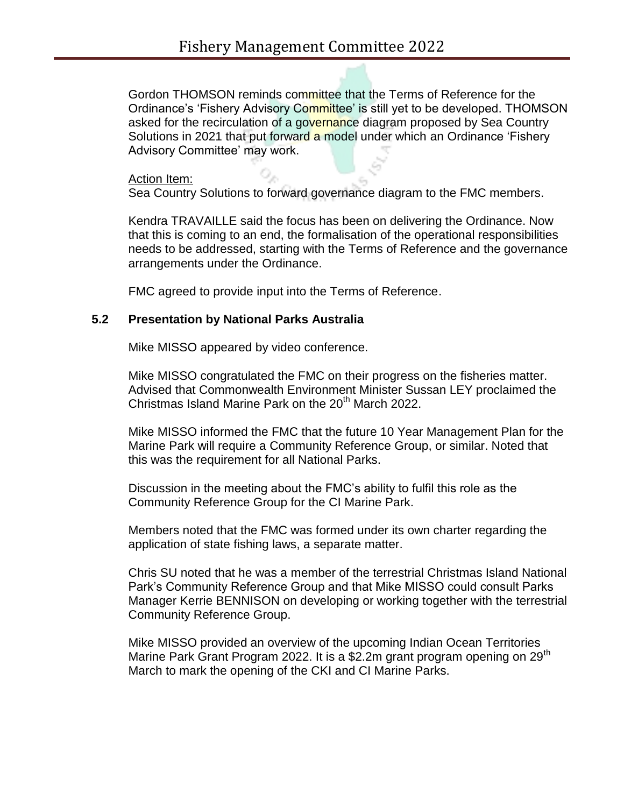Gordon THOMSON reminds committee that the Terms of Reference for the Ordinance's 'Fishery Advisory Committee' is still yet to be developed. THOMSON asked for the recirculation of a governance diagram proposed by Sea Country Solutions in 2021 that put forward a model under which an Ordinance 'Fishery' Advisory Committee' may work.

#### Action Item:

Sea Country Solutions to forward governance diagram to the FMC members.

Kendra TRAVAILLE said the focus has been on delivering the Ordinance. Now that this is coming to an end, the formalisation of the operational responsibilities needs to be addressed, starting with the Terms of Reference and the governance arrangements under the Ordinance.

FMC agreed to provide input into the Terms of Reference.

#### **5.2 Presentation by National Parks Australia**

Mike MISSO appeared by video conference.

Mike MISSO congratulated the FMC on their progress on the fisheries matter. Advised that Commonwealth Environment Minister Sussan LEY proclaimed the Christmas Island Marine Park on the  $20<sup>th</sup>$  March 2022.

Mike MISSO informed the FMC that the future 10 Year Management Plan for the Marine Park will require a Community Reference Group, or similar. Noted that this was the requirement for all National Parks.

Discussion in the meeting about the FMC's ability to fulfil this role as the Community Reference Group for the CI Marine Park.

Members noted that the FMC was formed under its own charter regarding the application of state fishing laws, a separate matter.

Chris SU noted that he was a member of the terrestrial Christmas Island National Park's Community Reference Group and that Mike MISSO could consult Parks Manager Kerrie BENNISON on developing or working together with the terrestrial Community Reference Group.

Mike MISSO provided an overview of the upcoming Indian Ocean Territories Marine Park Grant Program 2022. It is a \$2.2m grant program opening on 29<sup>th</sup> March to mark the opening of the CKI and CI Marine Parks.